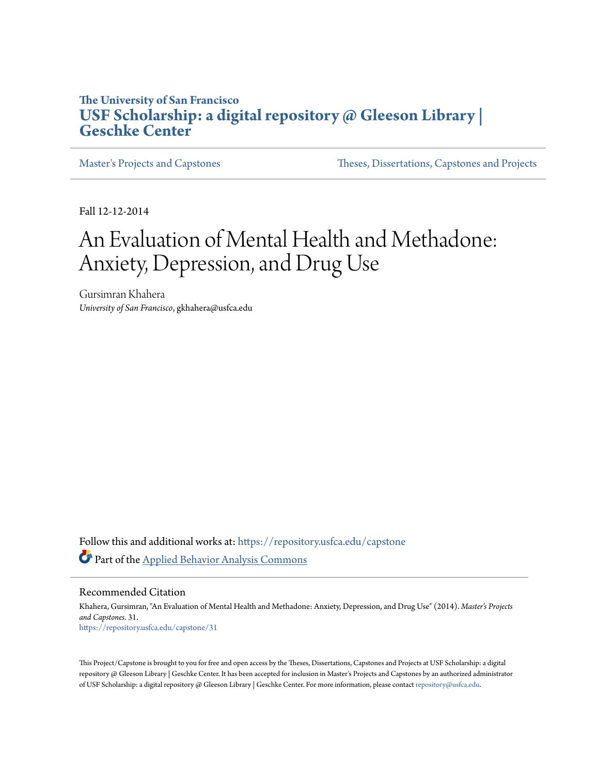## **The University of San Francisco [USF Scholarship: a digital repository @ Gleeson Library |](https://repository.usfca.edu?utm_source=repository.usfca.edu%2Fcapstone%2F31&utm_medium=PDF&utm_campaign=PDFCoverPages) [Geschke Center](https://repository.usfca.edu?utm_source=repository.usfca.edu%2Fcapstone%2F31&utm_medium=PDF&utm_campaign=PDFCoverPages)**

[Master's Projects and Capstones](https://repository.usfca.edu/capstone?utm_source=repository.usfca.edu%2Fcapstone%2F31&utm_medium=PDF&utm_campaign=PDFCoverPages) [Theses, Dissertations, Capstones and Projects](https://repository.usfca.edu/etd?utm_source=repository.usfca.edu%2Fcapstone%2F31&utm_medium=PDF&utm_campaign=PDFCoverPages)

Fall 12-12-2014

# An Evaluation of Mental Health and Methadone: Anxiety, Depression, and Drug Use

Gursimran Khahera *University of San Francisco*, gkhahera@usfca.edu

Follow this and additional works at: [https://repository.usfca.edu/capstone](https://repository.usfca.edu/capstone?utm_source=repository.usfca.edu%2Fcapstone%2F31&utm_medium=PDF&utm_campaign=PDFCoverPages) Part of the [Applied Behavior Analysis Commons](http://network.bepress.com/hgg/discipline/1235?utm_source=repository.usfca.edu%2Fcapstone%2F31&utm_medium=PDF&utm_campaign=PDFCoverPages)

Recommended Citation

Khahera, Gursimran, "An Evaluation of Mental Health and Methadone: Anxiety, Depression, and Drug Use" (2014). *Master's Projects and Capstones*. 31. [https://repository.usfca.edu/capstone/31](https://repository.usfca.edu/capstone/31?utm_source=repository.usfca.edu%2Fcapstone%2F31&utm_medium=PDF&utm_campaign=PDFCoverPages)

This Project/Capstone is brought to you for free and open access by the Theses, Dissertations, Capstones and Projects at USF Scholarship: a digital repository @ Gleeson Library | Geschke Center. It has been accepted for inclusion in Master's Projects and Capstones by an authorized administrator of USF Scholarship: a digital repository @ Gleeson Library | Geschke Center. For more information, please contact [repository@usfca.edu](mailto:repository@usfca.edu).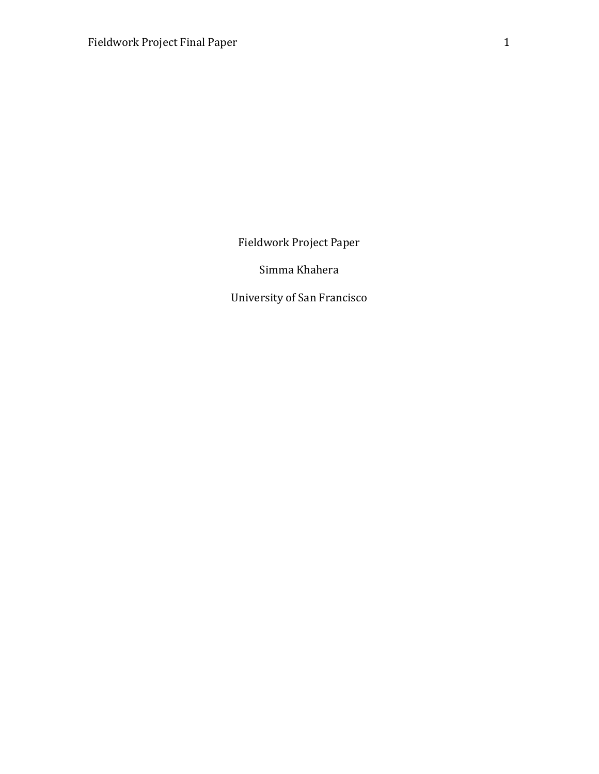Fieldwork Project Paper

Simma Khahera

University of San Francisco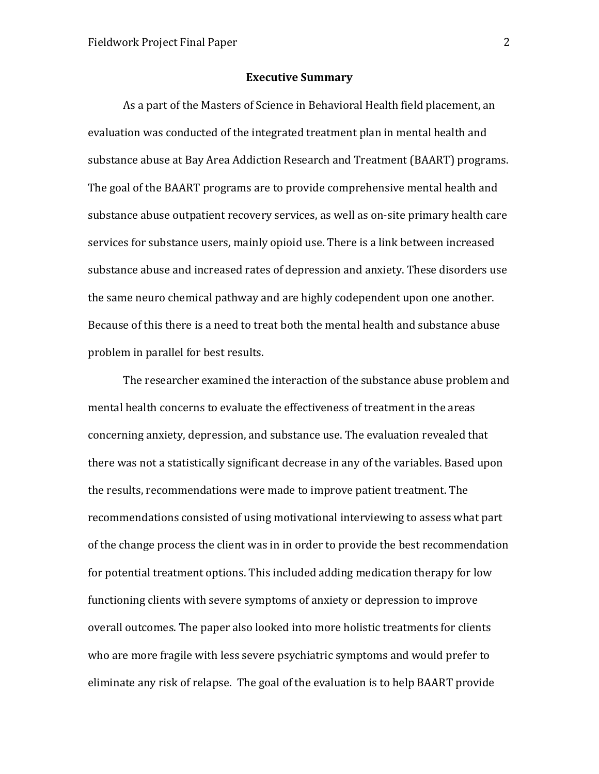### Executive Summary

As a part of the Masters of Science in Behavioral Health field placement, an evaluation was conducted of the integrated treatment plan in mental health and substance abuse at Bay Area Addiction Research and Treatment (BAART) programs. The goal of the BAART programs are to provide comprehensive mental health and substance abuse outpatient recovery services, as well as on-site primary health care services for substance users, mainly opioid use. There is a link between increased substance abuse and increased rates of depression and anxiety. These disorders use the same neuro chemical pathway and are highly codependent upon one another. Because of this there is a need to treat both the mental health and substance abuse problem in parallel for best results.

The researcher examined the interaction of the substance abuse problem and mental health concerns to evaluate the effectiveness of treatment in the areas concerning anxiety, depression, and substance use. The evaluation revealed that there was not a statistically significant decrease in any of the variables. Based upon the results, recommendations were made to improve patient treatment. The recommendations consisted of using motivational interviewing to assess what part of the change process the client was in in order to provide the best recommendation for potential treatment options. This included adding medication therapy for low functioning clients with severe symptoms of anxiety or depression to improve overall outcomes. The paper also looked into more holistic treatments for clients who are more fragile with less severe psychiatric symptoms and would prefer to eliminate any risk of relapse. The goal of the evaluation is to help BAART provide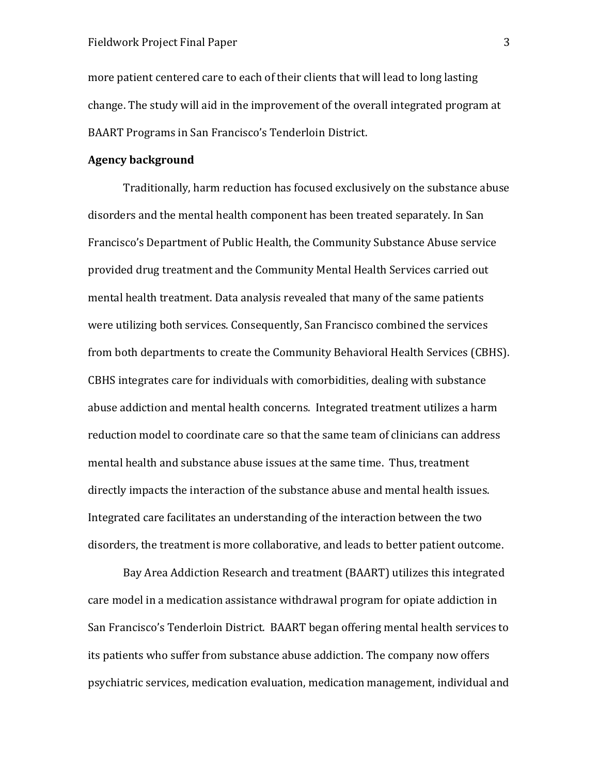more patient centered care to each of their clients that will lead to long lasting change. The study will aid in the improvement of the overall integrated program at BAART Programs in San Francisco's Tenderloin District.

### Agency background

Traditionally, harm reduction has focused exclusively on the substance abuse disorders and the mental health component has been treated separately. In San Francisco's Department of Public Health, the Community Substance Abuse service provided drug treatment and the Community Mental Health Services carried out mental health treatment. Data analysis revealed that many of the same patients were utilizing both services. Consequently, San Francisco combined the services from both departments to create the Community Behavioral Health Services (CBHS). CBHS integrates care for individuals with comorbidities, dealing with substance abuse addiction and mental health concerns. Integrated treatment utilizes a harm reduction model to coordinate care so that the same team of clinicians can address mental health and substance abuse issues at the same time. Thus, treatment directly impacts the interaction of the substance abuse and mental health issues. Integrated care facilitates an understanding of the interaction between the two disorders, the treatment is more collaborative, and leads to better patient outcome.

Bay Area Addiction Research and treatment (BAART) utilizes this integrated care model in a medication assistance withdrawal program for opiate addiction in San Francisco's Tenderloin District. BAART began offering mental health services to its patients who suffer from substance abuse addiction. The company now offers psychiatric services, medication evaluation, medication management, individual and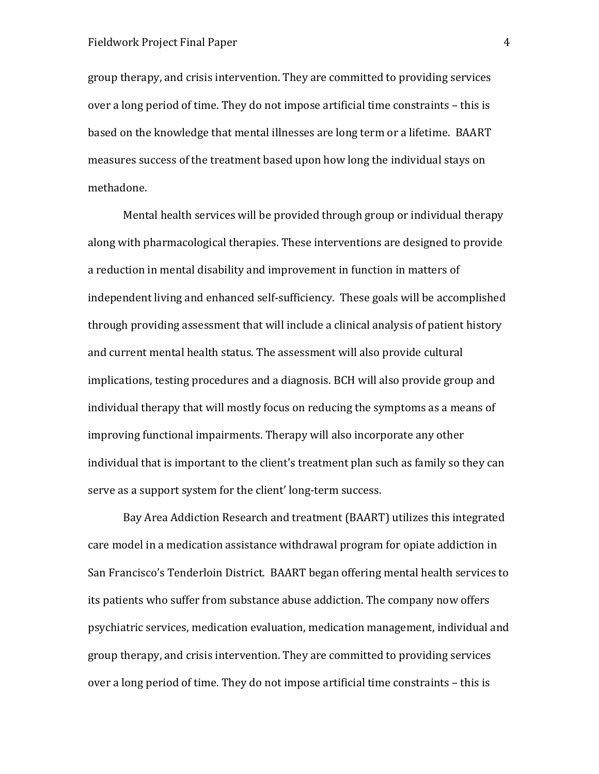group therapy, and crisis intervention. They are committed to providing services over a long period of time. They do not impose artificial time constraints – this is based on the knowledge that mental illnesses are long term or a lifetime. BAART measures success of the treatment based upon how long the individual stays on methadone.

Mental health services will be provided through group or individual therapy along with pharmacological therapies. These interventions are designed to provide a reduction in mental disability and improvement in function in matters of independent living and enhanced self-sufficiency. These goals will be accomplished through providing assessment that will include a clinical analysis of patient history and current mental health status. The assessment will also provide cultural implications, testing procedures and a diagnosis. BCH will also provide group and individual therapy that will mostly focus on reducing the symptoms as a means of improving functional impairments. Therapy will also incorporate any other individual that is important to the client's treatment plan such as family so they can serve as a support system for the client' long-term success.

Bay Area Addiction Research and treatment (BAART) utilizes this integrated care model in a medication assistance withdrawal program for opiate addiction in San Francisco's Tenderloin District. BAART began offering mental health services to its patients who suffer from substance abuse addiction. The company now offers psychiatric services, medication evaluation, medication management, individual and group therapy, and crisis intervention. They are committed to providing services over a long period of time. They do not impose artificial time constraints – this is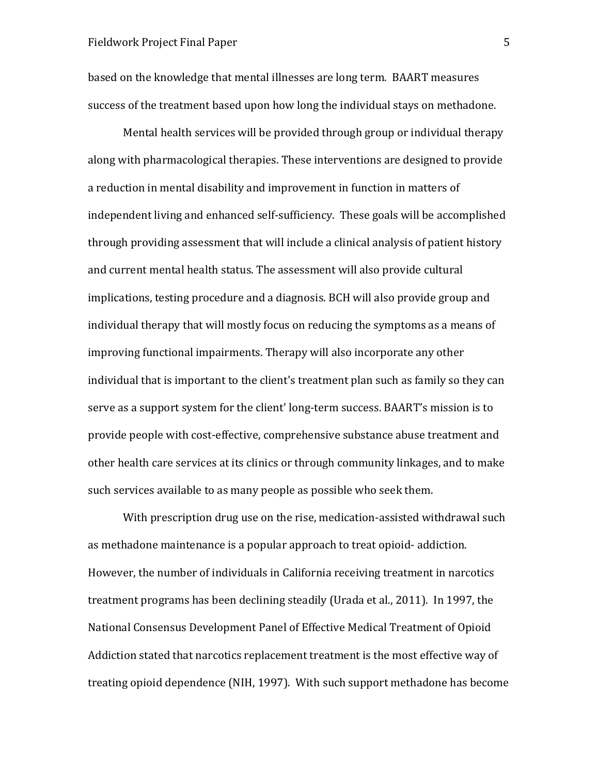based on the knowledge that mental illnesses are long term. BAART measures success of the treatment based upon how long the individual stays on methadone.

Mental health services will be provided through group or individual therapy along with pharmacological therapies. These interventions are designed to provide a reduction in mental disability and improvement in function in matters of independent living and enhanced self-sufficiency. These goals will be accomplished through providing assessment that will include a clinical analysis of patient history and current mental health status. The assessment will also provide cultural implications, testing procedure and a diagnosis. BCH will also provide group and individual therapy that will mostly focus on reducing the symptoms as a means of improving functional impairments. Therapy will also incorporate any other individual that is important to the client's treatment plan such as family so they can serve as a support system for the client' long-term success. BAART's mission is to provide people with cost-effective, comprehensive substance abuse treatment and other health care services at its clinics or through community linkages, and to make such services available to as many people as possible who seek them.

With prescription drug use on the rise, medication-assisted withdrawal such as methadone maintenance is a popular approach to treat opioid- addiction. However, the number of individuals in California receiving treatment in narcotics treatment programs has been declining steadily (Urada et al., 2011). In 1997, the National Consensus Development Panel of Effective Medical Treatment of Opioid Addiction stated that narcotics replacement treatment is the most effective way of treating opioid dependence (NIH, 1997). With such support methadone has become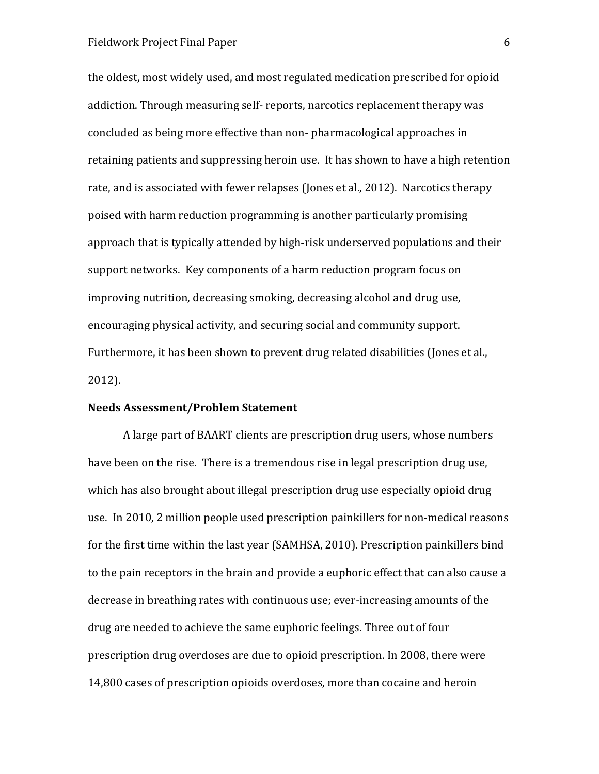the oldest, most widely used, and most regulated medication prescribed for opioid addiction. Through measuring self- reports, narcotics replacement therapy was concluded as being more effective than non- pharmacological approaches in retaining patients and suppressing heroin use. It has shown to have a high retention rate, and is associated with fewer relapses (Jones et al., 2012). Narcotics therapy poised with harm reduction programming is another particularly promising approach that is typically attended by high-risk underserved populations and their support networks. Key components of a harm reduction program focus on improving nutrition, decreasing smoking, decreasing alcohol and drug use, encouraging physical activity, and securing social and community support. Furthermore, it has been shown to prevent drug related disabilities (Jones et al., 2012).

### Needs Assessment/Problem Statement

A large part of BAART clients are prescription drug users, whose numbers have been on the rise. There is a tremendous rise in legal prescription drug use, which has also brought about illegal prescription drug use especially opioid drug use. In 2010, 2 million people used prescription painkillers for non-medical reasons for the first time within the last year (SAMHSA, 2010). Prescription painkillers bind to the pain receptors in the brain and provide a euphoric effect that can also cause a decrease in breathing rates with continuous use; ever-increasing amounts of the drug are needed to achieve the same euphoric feelings. Three out of four prescription drug overdoses are due to opioid prescription. In 2008, there were 14,800 cases of prescription opioids overdoses, more than cocaine and heroin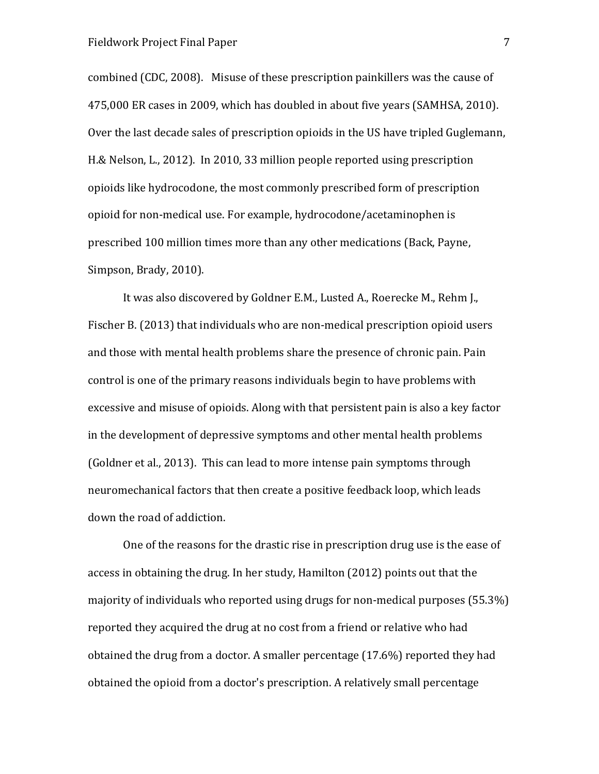combined (CDC, 2008). Misuse of these prescription painkillers was the cause of 475,000 ER cases in 2009, which has doubled in about five years (SAMHSA, 2010). Over the last decade sales of prescription opioids in the US have tripled Guglemann, H.& Nelson, L., 2012). In 2010, 33 million people reported using prescription opioids like hydrocodone, the most commonly prescribed form of prescription opioid for non-medical use. For example, hydrocodone/acetaminophen is prescribed 100 million times more than any other medications (Back, Payne, Simpson, Brady, 2010).

It was also discovered by Goldner E.M., Lusted A., Roerecke M., Rehm J., Fischer B. (2013) that individuals who are non-medical prescription opioid users and those with mental health problems share the presence of chronic pain. Pain control is one of the primary reasons individuals begin to have problems with excessive and misuse of opioids. Along with that persistent pain is also a key factor in the development of depressive symptoms and other mental health problems (Goldner et al., 2013). This can lead to more intense pain symptoms through neuromechanical factors that then create a positive feedback loop, which leads down the road of addiction.

One of the reasons for the drastic rise in prescription drug use is the ease of access in obtaining the drug. In her study, Hamilton (2012) points out that the majority of individuals who reported using drugs for non-medical purposes (55.3%) reported they acquired the drug at no cost from a friend or relative who had obtained the drug from a doctor. A smaller percentage (17.6%) reported they had obtained the opioid from a doctor's prescription. A relatively small percentage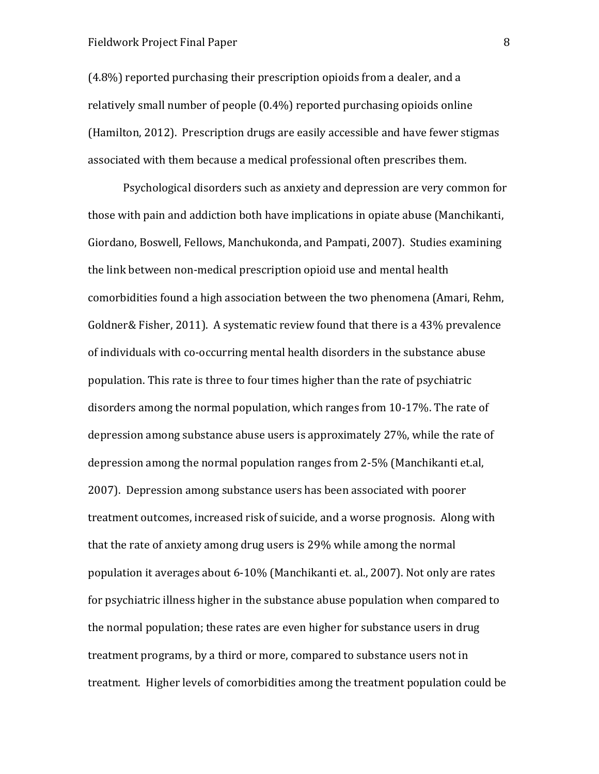(4.8%) reported purchasing their prescription opioids from a dealer, and a relatively small number of people (0.4%) reported purchasing opioids online (Hamilton, 2012). Prescription drugs are easily accessible and have fewer stigmas associated with them because a medical professional often prescribes them.

Psychological disorders such as anxiety and depression are very common for those with pain and addiction both have implications in opiate abuse (Manchikanti, Giordano, Boswell, Fellows, Manchukonda, and Pampati, 2007). Studies examining the link between non-medical prescription opioid use and mental health comorbidities found a high association between the two phenomena (Amari, Rehm, Goldner& Fisher, 2011). A systematic review found that there is a 43% prevalence of individuals with co-occurring mental health disorders in the substance abuse population. This rate is three to four times higher than the rate of psychiatric disorders among the normal population, which ranges from 10-17%. The rate of depression among substance abuse users is approximately 27%, while the rate of depression among the normal population ranges from 2-5% (Manchikanti et.al, 2007). Depression among substance users has been associated with poorer treatment outcomes, increased risk of suicide, and a worse prognosis. Along with that the rate of anxiety among drug users is 29% while among the normal population it averages about 6-10% (Manchikanti et. al., 2007). Not only are rates for psychiatric illness higher in the substance abuse population when compared to the normal population; these rates are even higher for substance users in drug treatment programs, by a third or more, compared to substance users not in treatment. Higher levels of comorbidities among the treatment population could be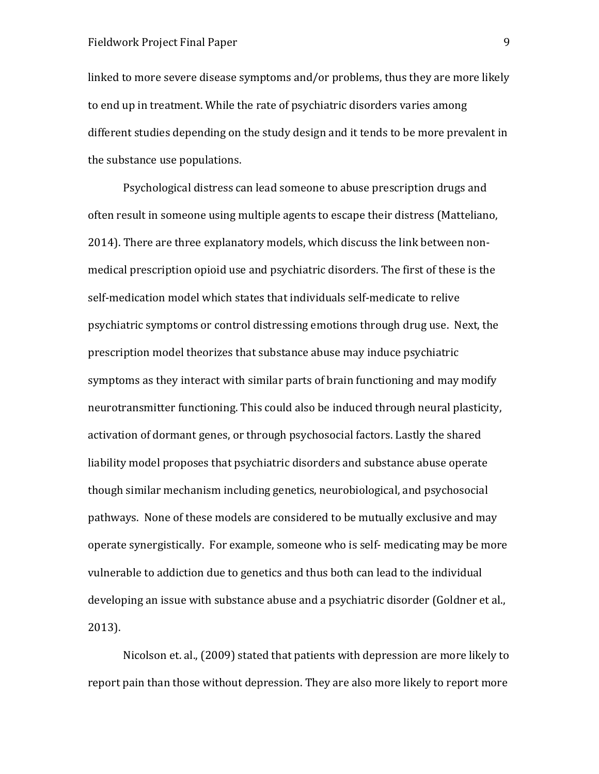linked to more severe disease symptoms and/or problems, thus they are more likely to end up in treatment. While the rate of psychiatric disorders varies among different studies depending on the study design and it tends to be more prevalent in the substance use populations.

Psychological distress can lead someone to abuse prescription drugs and often result in someone using multiple agents to escape their distress (Matteliano, 2014). There are three explanatory models, which discuss the link between nonmedical prescription opioid use and psychiatric disorders. The first of these is the self-medication model which states that individuals self-medicate to relive psychiatric symptoms or control distressing emotions through drug use. Next, the prescription model theorizes that substance abuse may induce psychiatric symptoms as they interact with similar parts of brain functioning and may modify neurotransmitter functioning. This could also be induced through neural plasticity, activation of dormant genes, or through psychosocial factors. Lastly the shared liability model proposes that psychiatric disorders and substance abuse operate though similar mechanism including genetics, neurobiological, and psychosocial pathways. None of these models are considered to be mutually exclusive and may operate synergistically. For example, someone who is self- medicating may be more vulnerable to addiction due to genetics and thus both can lead to the individual developing an issue with substance abuse and a psychiatric disorder (Goldner et al., 2013).

Nicolson et. al., (2009) stated that patients with depression are more likely to report pain than those without depression. They are also more likely to report more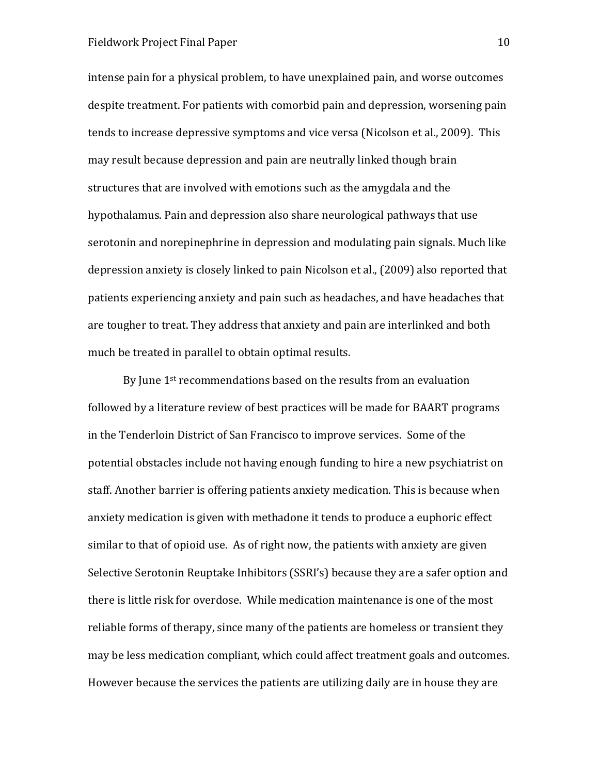intense pain for a physical problem, to have unexplained pain, and worse outcomes despite treatment. For patients with comorbid pain and depression, worsening pain tends to increase depressive symptoms and vice versa (Nicolson et al., 2009). This may result because depression and pain are neutrally linked though brain structures that are involved with emotions such as the amygdala and the hypothalamus. Pain and depression also share neurological pathways that use serotonin and norepinephrine in depression and modulating pain signals. Much like depression anxiety is closely linked to pain Nicolson et al., (2009) also reported that patients experiencing anxiety and pain such as headaches, and have headaches that are tougher to treat. They address that anxiety and pain are interlinked and both much be treated in parallel to obtain optimal results.

By June 1<sup>st</sup> recommendations based on the results from an evaluation followed by a literature review of best practices will be made for BAART programs in the Tenderloin District of San Francisco to improve services. Some of the potential obstacles include not having enough funding to hire a new psychiatrist on staff. Another barrier is offering patients anxiety medication. This is because when anxiety medication is given with methadone it tends to produce a euphoric effect similar to that of opioid use. As of right now, the patients with anxiety are given Selective Serotonin Reuptake Inhibitors (SSRI's) because they are a safer option and there is little risk for overdose. While medication maintenance is one of the most reliable forms of therapy, since many of the patients are homeless or transient they may be less medication compliant, which could affect treatment goals and outcomes. However because the services the patients are utilizing daily are in house they are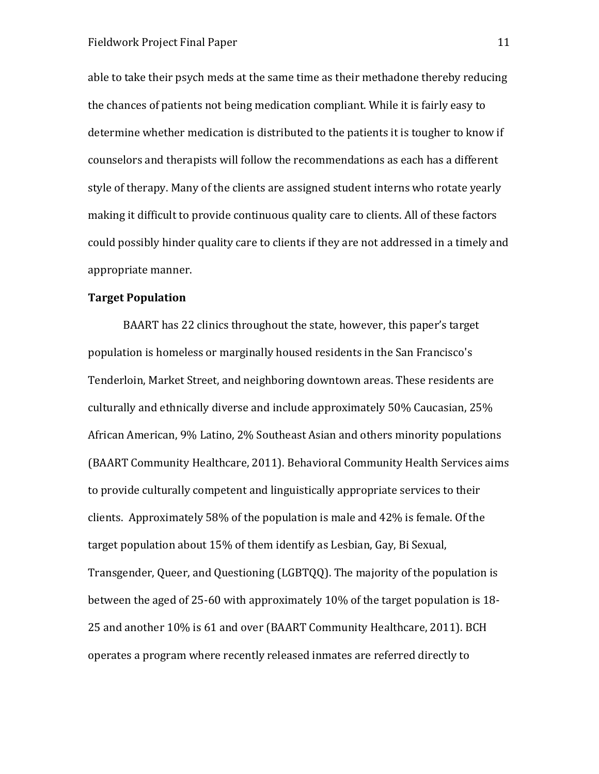able to take their psych meds at the same time as their methadone thereby reducing the chances of patients not being medication compliant. While it is fairly easy to determine whether medication is distributed to the patients it is tougher to know if counselors and therapists will follow the recommendations as each has a different style of therapy. Many of the clients are assigned student interns who rotate yearly making it difficult to provide continuous quality care to clients. All of these factors could possibly hinder quality care to clients if they are not addressed in a timely and appropriate manner.

### Target Population

BAART has 22 clinics throughout the state, however, this paper's target population is homeless or marginally housed residents in the San Francisco's Tenderloin, Market Street, and neighboring downtown areas. These residents are culturally and ethnically diverse and include approximately 50% Caucasian, 25% African American, 9% Latino, 2% Southeast Asian and others minority populations (BAART Community Healthcare, 2011). Behavioral Community Health Services aims to provide culturally competent and linguistically appropriate services to their clients. Approximately 58% of the population is male and 42% is female. Of the target population about 15% of them identify as Lesbian, Gay, Bi Sexual, Transgender, Queer, and Questioning (LGBTQQ). The majority of the population is between the aged of 25-60 with approximately 10% of the target population is 18- 25 and another 10% is 61 and over (BAART Community Healthcare, 2011). BCH operates a program where recently released inmates are referred directly to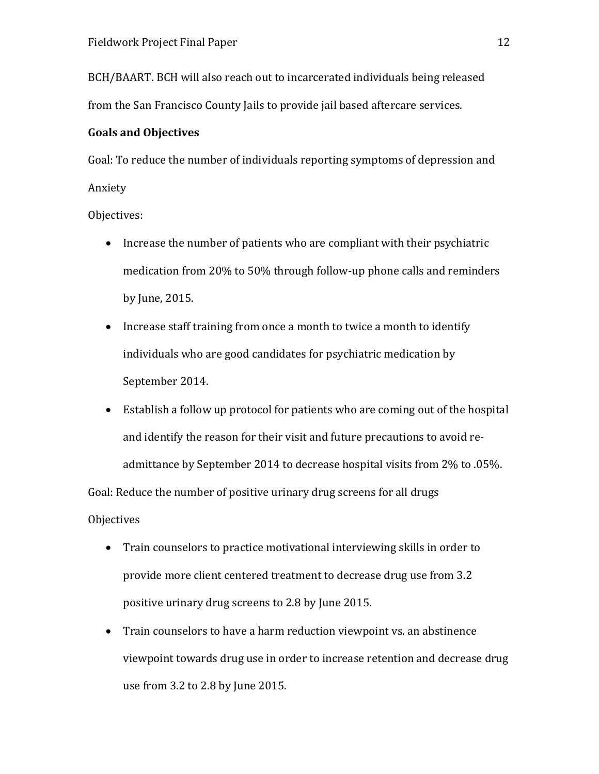BCH/BAART. BCH will also reach out to incarcerated individuals being released from the San Francisco County Jails to provide jail based aftercare services.

### Goals and Objectives

Goal: To reduce the number of individuals reporting symptoms of depression and Anxiety

Objectives:

- Increase the number of patients who are compliant with their psychiatric medication from 20% to 50% through follow-up phone calls and reminders by June, 2015.
- Increase staff training from once a month to twice a month to identify individuals who are good candidates for psychiatric medication by September 2014.
- Establish a follow up protocol for patients who are coming out of the hospital and identify the reason for their visit and future precautions to avoid readmittance by September 2014 to decrease hospital visits from 2% to .05%.

Goal: Reduce the number of positive urinary drug screens for all drugs **Objectives** 

- Train counselors to practice motivational interviewing skills in order to provide more client centered treatment to decrease drug use from 3.2 positive urinary drug screens to 2.8 by June 2015.
- Train counselors to have a harm reduction viewpoint vs. an abstinence viewpoint towards drug use in order to increase retention and decrease drug use from 3.2 to 2.8 by June 2015.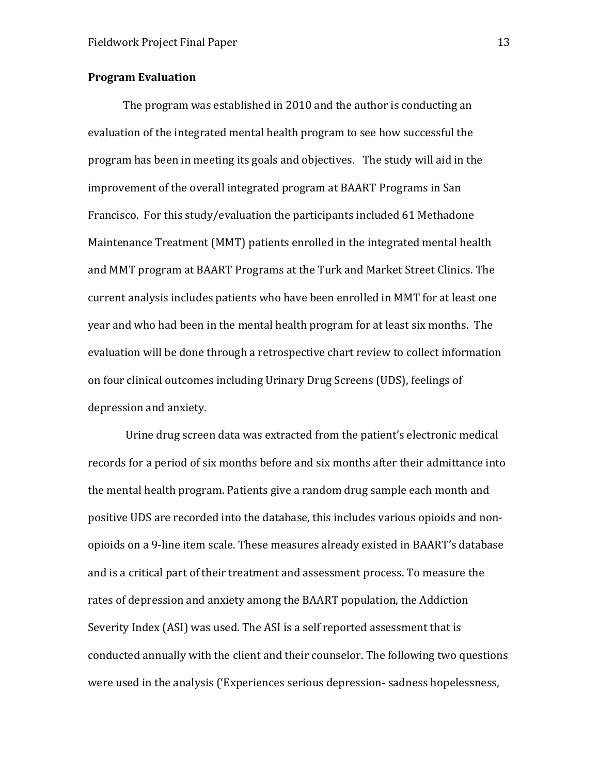### Program Evaluation

The program was established in 2010 and the author is conducting an evaluation of the integrated mental health program to see how successful the program has been in meeting its goals and objectives. The study will aid in the improvement of the overall integrated program at BAART Programs in San Francisco. For this study/evaluation the participants included 61 Methadone Maintenance Treatment (MMT) patients enrolled in the integrated mental health and MMT program at BAART Programs at the Turk and Market Street Clinics. The current analysis includes patients who have been enrolled in MMT for at least one year and who had been in the mental health program for at least six months. The evaluation will be done through a retrospective chart review to collect information on four clinical outcomes including Urinary Drug Screens (UDS), feelings of depression and anxiety.

 Urine drug screen data was extracted from the patient's electronic medical records for a period of six months before and six months after their admittance into the mental health program. Patients give a random drug sample each month and positive UDS are recorded into the database, this includes various opioids and nonopioids on a 9-line item scale. These measures already existed in BAART's database and is a critical part of their treatment and assessment process. To measure the rates of depression and anxiety among the BAART population, the Addiction Severity Index (ASI) was used. The ASI is a self reported assessment that is conducted annually with the client and their counselor. The following two questions were used in the analysis ('Experiences serious depression- sadness hopelessness,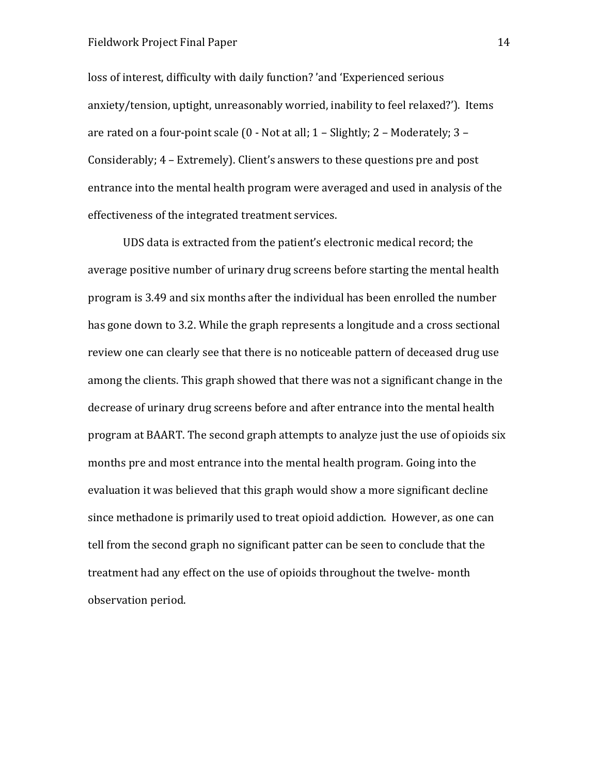loss of interest, difficulty with daily function? 'and 'Experienced serious anxiety/tension, uptight, unreasonably worried, inability to feel relaxed?'). Items are rated on a four-point scale (0 - Not at all; 1 – Slightly; 2 – Moderately; 3 – Considerably; 4 – Extremely). Client's answers to these questions pre and post entrance into the mental health program were averaged and used in analysis of the effectiveness of the integrated treatment services.

UDS data is extracted from the patient's electronic medical record; the average positive number of urinary drug screens before starting the mental health program is 3.49 and six months after the individual has been enrolled the number has gone down to 3.2. While the graph represents a longitude and a cross sectional review one can clearly see that there is no noticeable pattern of deceased drug use among the clients. This graph showed that there was not a significant change in the decrease of urinary drug screens before and after entrance into the mental health program at BAART. The second graph attempts to analyze just the use of opioids six months pre and most entrance into the mental health program. Going into the evaluation it was believed that this graph would show a more significant decline since methadone is primarily used to treat opioid addiction. However, as one can tell from the second graph no significant patter can be seen to conclude that the treatment had any effect on the use of opioids throughout the twelve- month observation period.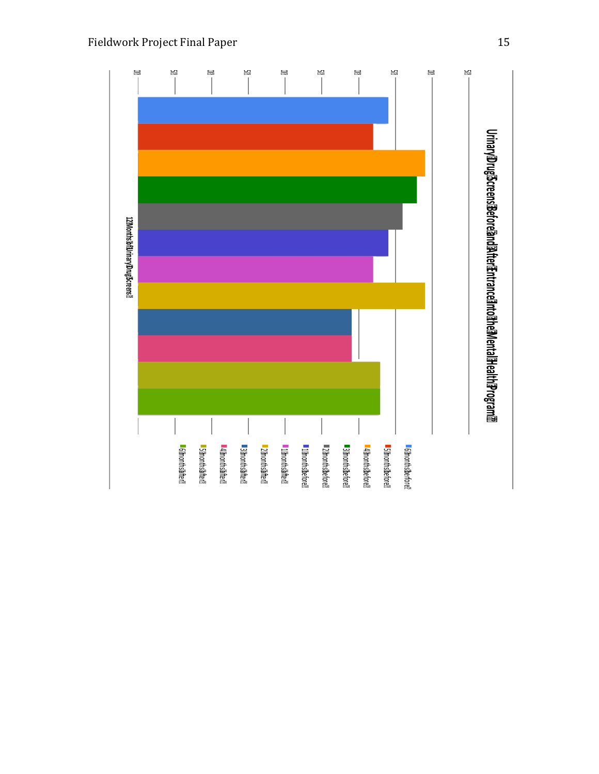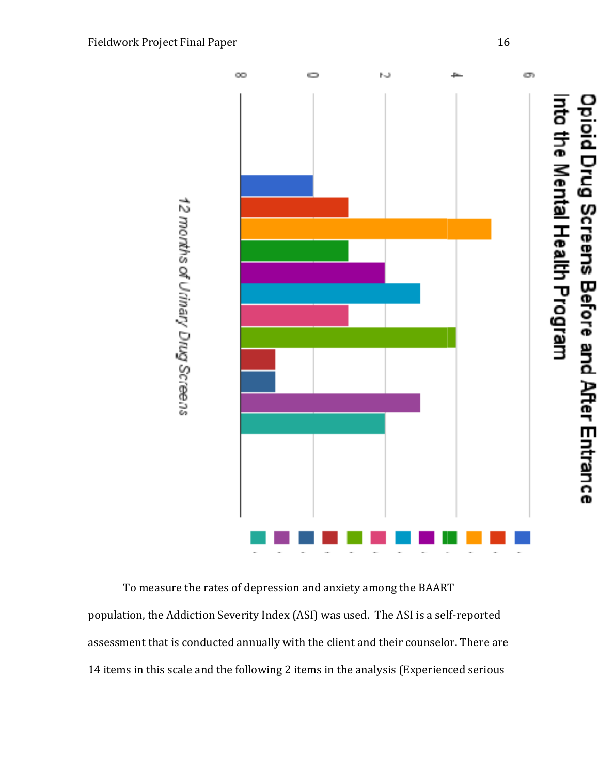

To measure the rates of depression and anxiety among the BAART population, the Addiction Severity Index (ASI) was used. The ASI is a self-reported assessment that is conducted annually with the client and their counselor. There are 14 items in this scale and the following 2 items in the analysis (Experienced serious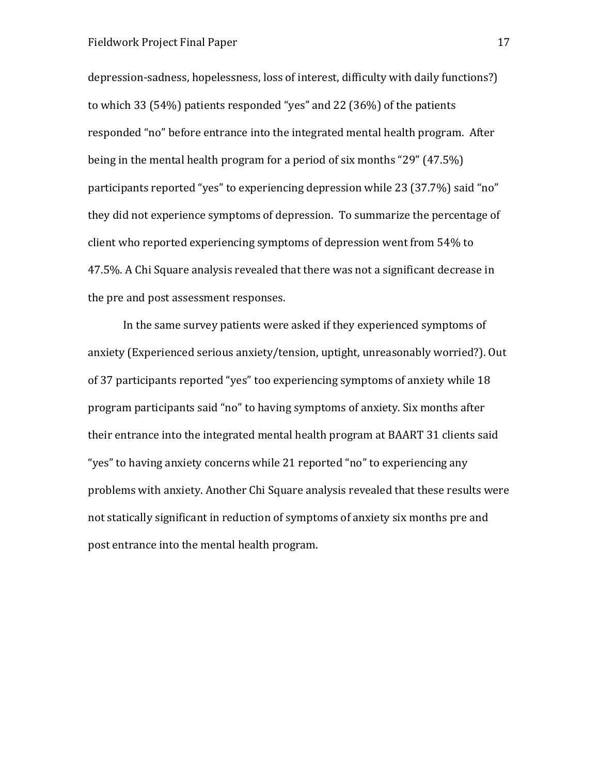depression-sadness, hopelessness, loss of interest, difficulty with daily functions?) to which 33 (54%) patients responded "yes" and 22 (36%) of the patients responded "no" before entrance into the integrated mental health program. After being in the mental health program for a period of six months "29" (47.5%) participants reported "yes" to experiencing depression while 23 (37.7%) said "no" they did not experience symptoms of depression. To summarize the percentage of client who reported experiencing symptoms of depression went from 54% to 47.5%. A Chi Square analysis revealed that there was not a significant decrease in the pre and post assessment responses.

In the same survey patients were asked if they experienced symptoms of anxiety (Experienced serious anxiety/tension, uptight, unreasonably worried?). Out of 37 participants reported "yes" too experiencing symptoms of anxiety while 18 program participants said "no" to having symptoms of anxiety. Six months after their entrance into the integrated mental health program at BAART 31 clients said "yes" to having anxiety concerns while 21 reported "no" to experiencing any problems with anxiety. Another Chi Square analysis revealed that these results were not statically significant in reduction of symptoms of anxiety six months pre and post entrance into the mental health program.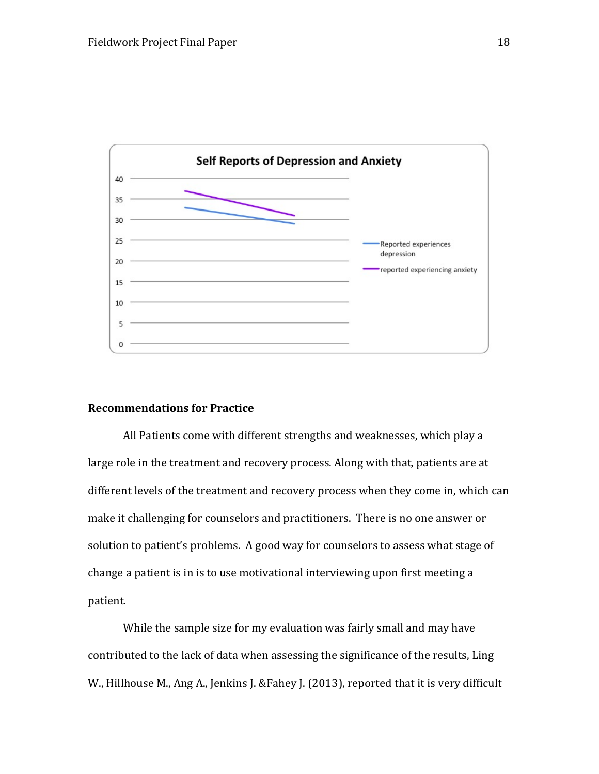

### Recommendations for Practice

All Patients come with different strengths and weaknesses, which play a large role in the treatment and recovery process. Along with that, patients are at different levels of the treatment and recovery process when they come in, which can make it challenging for counselors and practitioners. There is no one answer or solution to patient's problems. A good way for counselors to assess what stage of change a patient is in is to use motivational interviewing upon first meeting a patient.

While the sample size for my evaluation was fairly small and may have contributed to the lack of data when assessing the significance of the results, Ling W., Hillhouse M., Ang A., Jenkins J. &Fahey J. (2013), reported that it is very difficult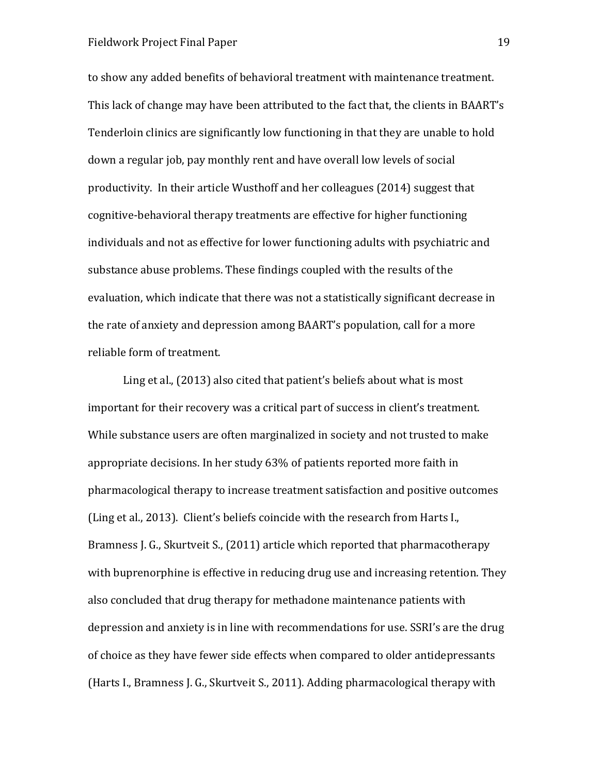to show any added benefits of behavioral treatment with maintenance treatment. This lack of change may have been attributed to the fact that, the clients in BAART's Tenderloin clinics are significantly low functioning in that they are unable to hold down a regular job, pay monthly rent and have overall low levels of social productivity. In their article Wusthoff and her colleagues (2014) suggest that cognitive-behavioral therapy treatments are effective for higher functioning individuals and not as effective for lower functioning adults with psychiatric and substance abuse problems. These findings coupled with the results of the evaluation, which indicate that there was not a statistically significant decrease in the rate of anxiety and depression among BAART's population, call for a more reliable form of treatment.

Ling et al., (2013) also cited that patient's beliefs about what is most important for their recovery was a critical part of success in client's treatment. While substance users are often marginalized in society and not trusted to make appropriate decisions. In her study 63% of patients reported more faith in pharmacological therapy to increase treatment satisfaction and positive outcomes (Ling et al., 2013). Client's beliefs coincide with the research from Harts I., Bramness J. G., Skurtveit S., (2011) article which reported that pharmacotherapy with buprenorphine is effective in reducing drug use and increasing retention. They also concluded that drug therapy for methadone maintenance patients with depression and anxiety is in line with recommendations for use. SSRI's are the drug of choice as they have fewer side effects when compared to older antidepressants (Harts I., Bramness J. G., Skurtveit S., 2011). Adding pharmacological therapy with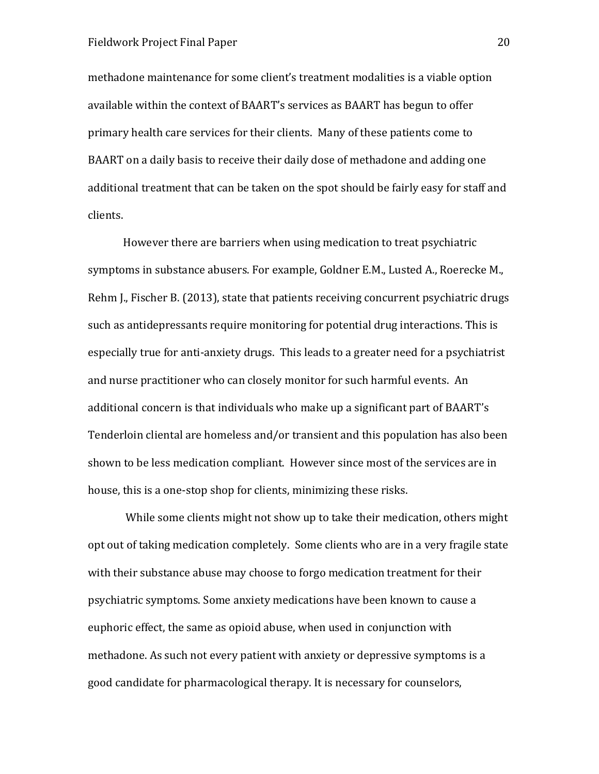methadone maintenance for some client's treatment modalities is a viable option available within the context of BAART's services as BAART has begun to offer primary health care services for their clients. Many of these patients come to BAART on a daily basis to receive their daily dose of methadone and adding one additional treatment that can be taken on the spot should be fairly easy for staff and clients.

However there are barriers when using medication to treat psychiatric symptoms in substance abusers. For example, Goldner E.M., Lusted A., Roerecke M., Rehm J., Fischer B. (2013), state that patients receiving concurrent psychiatric drugs such as antidepressants require monitoring for potential drug interactions. This is especially true for anti-anxiety drugs. This leads to a greater need for a psychiatrist and nurse practitioner who can closely monitor for such harmful events. An additional concern is that individuals who make up a significant part of BAART's Tenderloin cliental are homeless and/or transient and this population has also been shown to be less medication compliant. However since most of the services are in house, this is a one-stop shop for clients, minimizing these risks.

 While some clients might not show up to take their medication, others might opt out of taking medication completely. Some clients who are in a very fragile state with their substance abuse may choose to forgo medication treatment for their psychiatric symptoms. Some anxiety medications have been known to cause a euphoric effect, the same as opioid abuse, when used in conjunction with methadone. As such not every patient with anxiety or depressive symptoms is a good candidate for pharmacological therapy. It is necessary for counselors,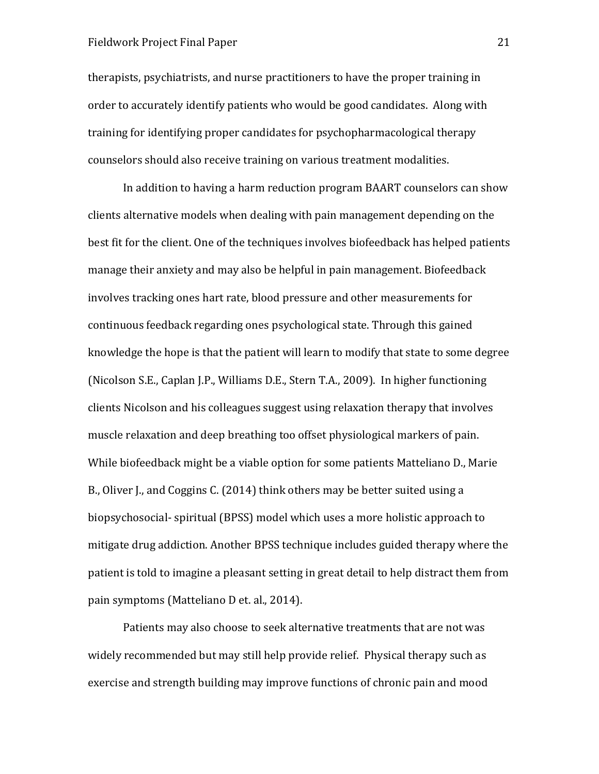therapists, psychiatrists, and nurse practitioners to have the proper training in order to accurately identify patients who would be good candidates. Along with training for identifying proper candidates for psychopharmacological therapy counselors should also receive training on various treatment modalities.

In addition to having a harm reduction program BAART counselors can show clients alternative models when dealing with pain management depending on the best fit for the client. One of the techniques involves biofeedback has helped patients manage their anxiety and may also be helpful in pain management. Biofeedback involves tracking ones hart rate, blood pressure and other measurements for continuous feedback regarding ones psychological state. Through this gained knowledge the hope is that the patient will learn to modify that state to some degree (Nicolson S.E., Caplan J.P., Williams D.E., Stern T.A., 2009). In higher functioning clients Nicolson and his colleagues suggest using relaxation therapy that involves muscle relaxation and deep breathing too offset physiological markers of pain. While biofeedback might be a viable option for some patients Matteliano D., Marie B., Oliver J., and Coggins C. (2014) think others may be better suited using a biopsychosocial- spiritual (BPSS) model which uses a more holistic approach to mitigate drug addiction. Another BPSS technique includes guided therapy where the patient is told to imagine a pleasant setting in great detail to help distract them from pain symptoms (Matteliano D et. al., 2014).

Patients may also choose to seek alternative treatments that are not was widely recommended but may still help provide relief. Physical therapy such as exercise and strength building may improve functions of chronic pain and mood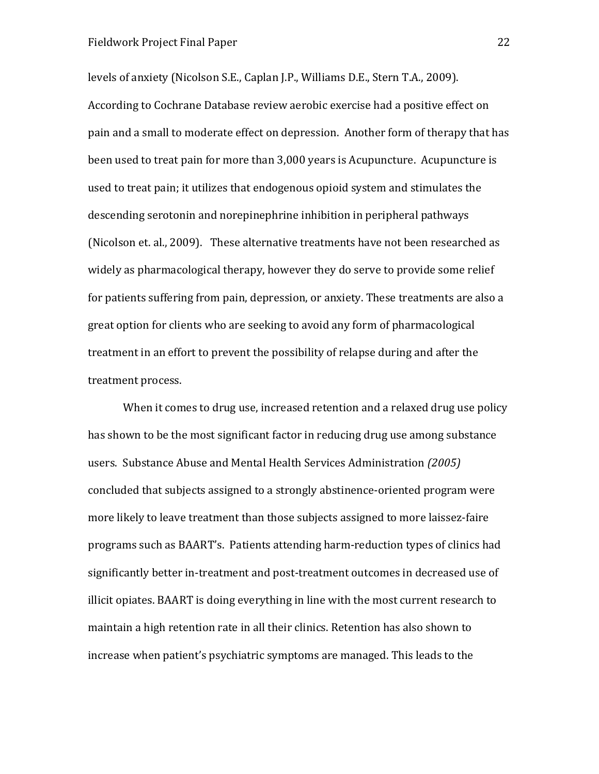levels of anxiety (Nicolson S.E., Caplan J.P., Williams D.E., Stern T.A., 2009). According to Cochrane Database review aerobic exercise had a positive effect on pain and a small to moderate effect on depression. Another form of therapy that has been used to treat pain for more than 3,000 years is Acupuncture. Acupuncture is used to treat pain; it utilizes that endogenous opioid system and stimulates the descending serotonin and norepinephrine inhibition in peripheral pathways (Nicolson et. al., 2009). These alternative treatments have not been researched as widely as pharmacological therapy, however they do serve to provide some relief for patients suffering from pain, depression, or anxiety. These treatments are also a great option for clients who are seeking to avoid any form of pharmacological treatment in an effort to prevent the possibility of relapse during and after the treatment process.

When it comes to drug use, increased retention and a relaxed drug use policy has shown to be the most significant factor in reducing drug use among substance users. Substance Abuse and Mental Health Services Administration (2005) concluded that subjects assigned to a strongly abstinence-oriented program were more likely to leave treatment than those subjects assigned to more laissez-faire programs such as BAART's. Patients attending harm-reduction types of clinics had significantly better in-treatment and post-treatment outcomes in decreased use of illicit opiates. BAART is doing everything in line with the most current research to maintain a high retention rate in all their clinics. Retention has also shown to increase when patient's psychiatric symptoms are managed. This leads to the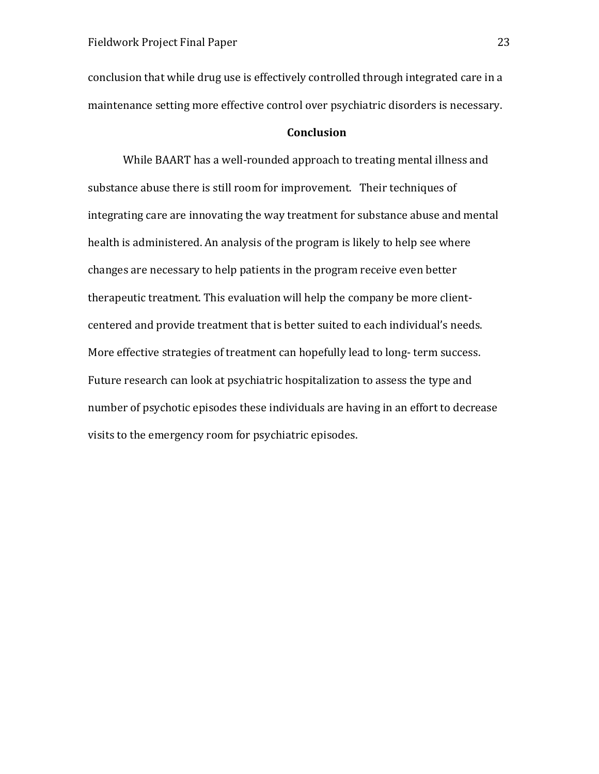conclusion that while drug use is effectively controlled through integrated care in a maintenance setting more effective control over psychiatric disorders is necessary.

### Conclusion

While BAART has a well-rounded approach to treating mental illness and substance abuse there is still room for improvement. Their techniques of integrating care are innovating the way treatment for substance abuse and mental health is administered. An analysis of the program is likely to help see where changes are necessary to help patients in the program receive even better therapeutic treatment. This evaluation will help the company be more clientcentered and provide treatment that is better suited to each individual's needs. More effective strategies of treatment can hopefully lead to long- term success. Future research can look at psychiatric hospitalization to assess the type and number of psychotic episodes these individuals are having in an effort to decrease visits to the emergency room for psychiatric episodes.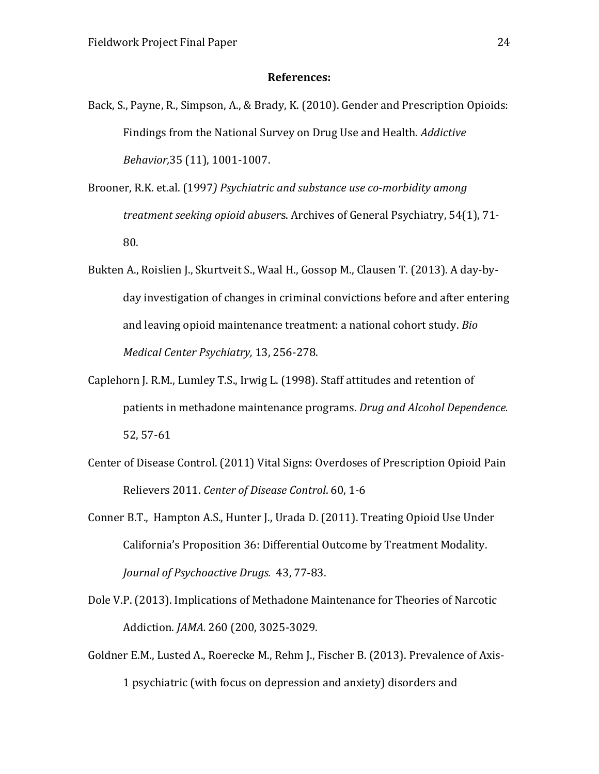### References:

- Back, S., Payne, R., Simpson, A., & Brady, K. (2010). Gender and Prescription Opioids: Findings from the National Survey on Drug Use and Health. Addictive Behavior,35 (11), 1001-1007.
- Brooner, R.K. et.al. (1997) Psychiatric and substance use co-morbidity among treatment seeking opioid abusers. Archives of General Psychiatry, 54(1), 71- 80.
- Bukten A., Roislien J., Skurtveit S., Waal H., Gossop M., Clausen T. (2013). A day-byday investigation of changes in criminal convictions before and after entering and leaving opioid maintenance treatment: a national cohort study. Bio Medical Center Psychiatry, 13, 256-278.
- Caplehorn J. R.M., Lumley T.S., Irwig L. (1998). Staff attitudes and retention of patients in methadone maintenance programs. Drug and Alcohol Dependence. 52, 57-61
- Center of Disease Control. (2011) Vital Signs: Overdoses of Prescription Opioid Pain Relievers 2011. Center of Disease Control. 60, 1-6
- Conner B.T., Hampton A.S., Hunter J., Urada D. (2011). Treating Opioid Use Under California's Proposition 36: Differential Outcome by Treatment Modality. Journal of Psychoactive Drugs. 43, 77-83.
- Dole V.P. (2013). Implications of Methadone Maintenance for Theories of Narcotic Addiction. JAMA. 260 (200, 3025-3029.
- Goldner E.M., Lusted A., Roerecke M., Rehm J., Fischer B. (2013). Prevalence of Axis-1 psychiatric (with focus on depression and anxiety) disorders and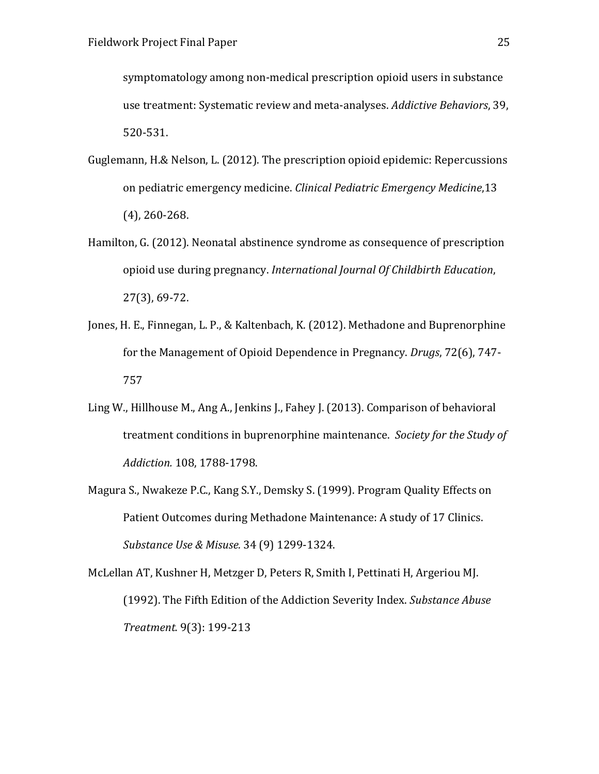symptomatology among non-medical prescription opioid users in substance use treatment: Systematic review and meta-analyses. Addictive Behaviors, 39, 520-531.

- Guglemann, H.& Nelson, L. (2012). The prescription opioid epidemic: Repercussions on pediatric emergency medicine. Clinical Pediatric Emergency Medicine,13 (4), 260-268.
- Hamilton, G. (2012). Neonatal abstinence syndrome as consequence of prescription opioid use during pregnancy. International Journal Of Childbirth Education, 27(3), 69-72.
- Jones, H. E., Finnegan, L. P., & Kaltenbach, K. (2012). Methadone and Buprenorphine for the Management of Opioid Dependence in Pregnancy. Drugs, 72(6), 747- 757
- Ling W., Hillhouse M., Ang A., Jenkins J., Fahey J. (2013). Comparison of behavioral treatment conditions in buprenorphine maintenance. Society for the Study of Addiction. 108, 1788-1798.
- Magura S., Nwakeze P.C., Kang S.Y., Demsky S. (1999). Program Quality Effects on Patient Outcomes during Methadone Maintenance: A study of 17 Clinics. Substance Use & Misuse. 34 (9) 1299-1324.

McLellan AT, Kushner H, Metzger D, Peters R, Smith I, Pettinati H, Argeriou MJ. (1992). The Fifth Edition of the Addiction Severity Index. Substance Abuse Treatment. 9(3): 199-213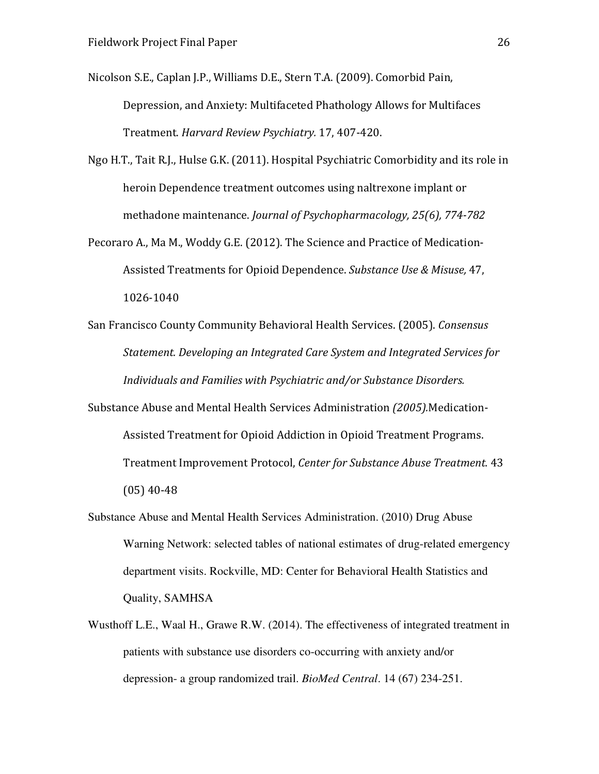Nicolson S.E., Caplan J.P., Williams D.E., Stern T.A. (2009). Comorbid Pain,

Depression, and Anxiety: Multifaceted Phathology Allows for Multifaces Treatment. Harvard Review Psychiatry. 17, 407-420.

Ngo H.T., Tait R.J., Hulse G.K. (2011). Hospital Psychiatric Comorbidity and its role in heroin Dependence treatment outcomes using naltrexone implant or methadone maintenance. Journal of Psychopharmacology, 25(6), 774-782

Pecoraro A., Ma M., Woddy G.E. (2012). The Science and Practice of Medication-Assisted Treatments for Opioid Dependence. Substance Use & Misuse, 47, 1026-1040

San Francisco County Community Behavioral Health Services. (2005). Consensus Statement. Developing an Integrated Care System and Integrated Services for Individuals and Families with Psychiatric and/or Substance Disorders.

Substance Abuse and Mental Health Services Administration (2005).Medication-Assisted Treatment for Opioid Addiction in Opioid Treatment Programs. Treatment Improvement Protocol, Center for Substance Abuse Treatment. 43 (05) 40-48

- Substance Abuse and Mental Health Services Administration. (2010) Drug Abuse Warning Network: selected tables of national estimates of drug-related emergency department visits. Rockville, MD: Center for Behavioral Health Statistics and Quality, SAMHSA
- Wusthoff L.E., Waal H., Grawe R.W. (2014). The effectiveness of integrated treatment in patients with substance use disorders co-occurring with anxiety and/or depression- a group randomized trail. *BioMed Central*. 14 (67) 234-251.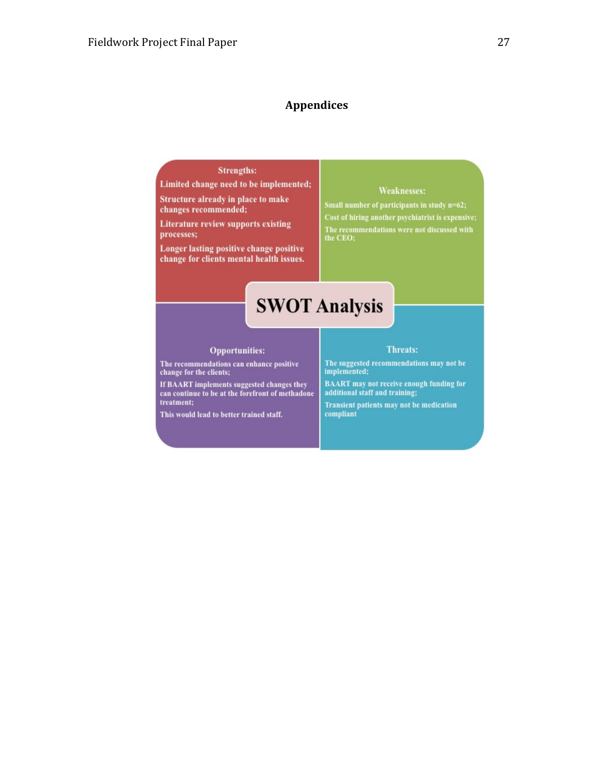### Appendices

### **Strengths:**

Limited change need to be implemented;

Structure already in place to make changes recommended;

**Literature review supports existing** processes;

Longer lasting positive change positive change for clients mental health issues.

### **Weaknesses:**

Small number of participants in study n=62; Cost of hiring another psychiatrist is expensive; The recommendations were not discussed with<br>the CEO;

# **SWOT Analysis**

### **Opportunities:**

The recommendations can enhance positive change for the clients;

If BAART implements suggested changes they can continue to be at the forefront of methadone treatment;

This would lead to better trained staff.

### Threats:

The suggested recommendations may not be<br>implemented;

**BAART** may not receive enough funding for additional staff and training;

Transient patients may not be medication compliant